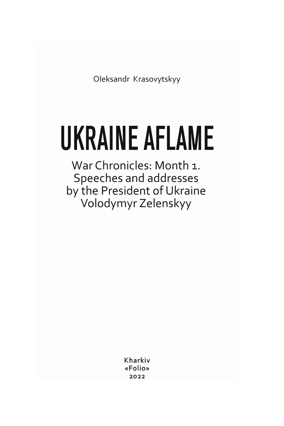Oleksandr Krasovytskyy

# **UKRAINE AFLAME**

War Chronicles: Month 1. Speeches and addresses by the President of Ukraine Volodymyr Zelenskyy

> Kharkiv «Folio» 2022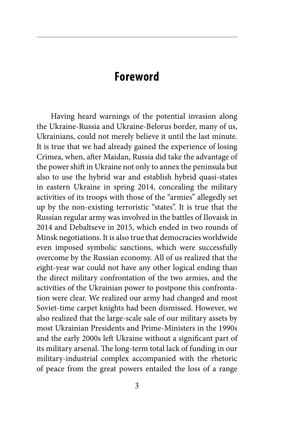### **Foreword**

Having heard warnings of the potential invasion along the Ukraine-Russia and Ukraine-Belorus border, many of us, Ukrainians, could not merely believe it until the last minute. It is true that we had already gained the experience of losing Crimea, when, after Maidan, Russia did take the advantage of the power shift in Ukraine not only to annex the peninsula but also to use the hybrid war and establish hybrid quasi-states in eastern Ukraine in spring 2014, concealing the military activities of its troops with those of the "armies" allegedly set up by the non-existing terroristic "states". It is true that the Russian regular army was involved in the battles of Ilovaisk in 2014 and Debaltseve in 2015, which ended in two rounds of Minsk negotiations. It is also true that democracies worldwide even imposed symbolic sanctions, which were successfully overcome by the Russian economy. All of us realized that the eight-year war could not have any other logical ending than the direct military confrontation of the two armies, and the activities of the Ukrainian power to postpone this confrontation were clear. We realized our army had changed and most Soviet-time carpet knights had been dismissed. However, we also realized that the large-scale sale of our military assets by most Ukrainian Presidents and Prime-Ministers in the 1990s and the early 2000s left Ukraine without a significant part of its military arsenal. The long-term total lack of funding in our military-industrial complex accompanied with the rhetoric of peace from the great powers entailed the loss of a range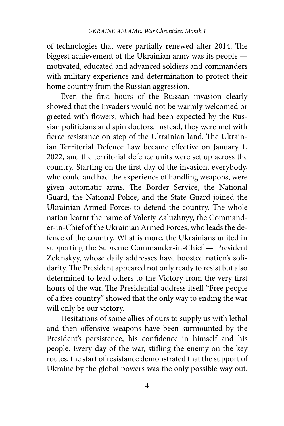of technologies that were partially renewed after 2014. The biggest achievement of the Ukrainian army was its people motivated, educated and advanced soldiers and commanders with military experience and determination to protect their home country from the Russian aggression.

Even the first hours of the Russian invasion clearly showed that the invaders would not be warmly welcomed or greeted with flowers, which had been expected by the Russian politicians and spin doctors. Instead, they were met with fierce resistance on step of the Ukrainian land. The Ukrainian Territorial Defence Law became effective on January 1, 2022, and the territorial defence units were set up across the country. Starting on the first day of the invasion, everybody, who could and had the experience of handling weapons, were given automatic arms. The Border Service, the National Guard, the National Police, and the State Guard joined the Ukrainian Armed Forces to defend the country. The whole nation learnt the name of Valeriy Zaluzhnyy, the Commander-in-Chief of the Ukrainian Armed Forces, who leads the defence of the country. What is more, the Ukrainians united in supporting the Supreme Commander-in-Chief — President Zelenskyy, whose daily addresses have boosted nation's solidarity. The President appeared not only ready to resist but also determined to lead others to the Victory from the very first hours of the war. The Presidential address itself "Free people of a free country" showed that the only way to ending the war will only be our victory.

Hesitations of some allies of ours to supply us with lethal and then offensive weapons have been surmounted by the President's persistence, his confidence in himself and his people. Every day of the war, stifling the enemy on the key routes, the start of resistance demonstrated that the support of Ukraine by the global powers was the only possible way out.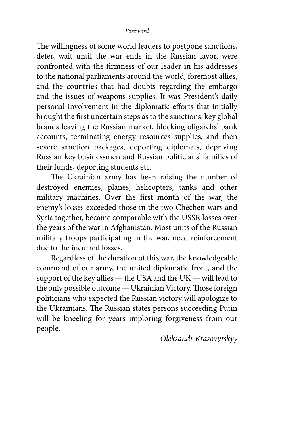The willingness of some world leaders to postpone sanctions, deter, wait until the war ends in the Russian favor, were confronted with the firmness of our leader in his addresses to the national parliaments around the world, foremost allies, and the countries that had doubts regarding the embargo and the issues of weapons supplies. It was President's daily personal involvement in the diplomatic efforts that initially brought the first uncertain steps as to the sanctions, key global brands leaving the Russian market, blocking oligarchs' bank accounts, terminating energy resources supplies, and then severe sanction packages, deporting diplomats, depriving Russian key businessmen and Russian politicians' families of their funds, deporting students etc.

The Ukrainian army has been raising the number of destroyed enemies, planes, helicopters, tanks and other military machines. Over the first month of the war, the enemy's losses exceeded those in the two Chechen wars and Syria together, became comparable with the USSR losses over the years of the war in Afghanistan. Most units of the Russian military troops participating in the war, need reinforcement due to the incurred losses.

Regardless of the duration of this war, the knowledgeable command of our army, the united diplomatic front, and the support of the key allies — the USA and the UK — will lead to the only possible outcome — Ukrainian Victory. Those foreign politicians who expected the Russian victory will apologize to the Ukrainians. The Russian states persons succeeding Putin will be kneeling for years imploring forgiveness from our people.

*Oleksandr Krasovytskyy*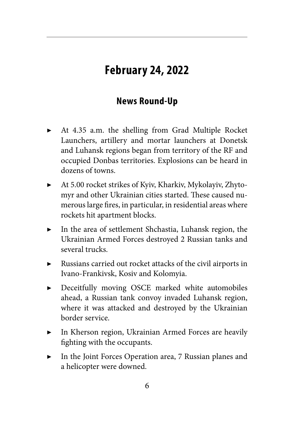## **February 24, 2022**

#### **News Round-Up**

- At 4.35 a.m. the shelling from Grad Multiple Rocket Launchers, artillery and mortar launchers at Donetsk and Luhansk regions began from territory of the RF and occupied Donbas territories. Explosions can be heard in dozens of towns.
- At 5.00 rocket strikes of Kyiv, Kharkiv, Mykolayiv, Zhytomyr and other Ukrainian cities started. These caused numerous large fires, in particular, in residential areas where rockets hit apartment blocks.
- In the area of settlement Shchastia, Luhansk region, the Ukrainian Armed Forces destroyed 2 Russian tanks and several trucks.
- Russians carried out rocket attacks of the civil airports in Ivano-Frankivsk, Kosiv and Kolomyia.
- Deceitfully moving OSCE marked white automobiles ahead, a Russian tank convoy invaded Luhansk region, where it was attacked and destroyed by the Ukrainian border service.
- In Kherson region, Ukrainian Armed Forces are heavily fighting with the occupants.
- In the Joint Forces Operation area, 7 Russian planes and a helicopter were downed.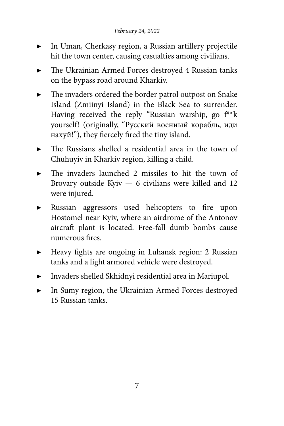- In Uman, Cherkasy region, a Russian artillery projectile hit the town center, causing casualties among civilians.
- The Ukrainian Armed Forces destroyed 4 Russian tanks on the bypass road around Kharkiv.
- The invaders ordered the border patrol outpost on Snake Island (Zmiinyi Island) in the Black Sea to surrender. Having received the reply "Russian warship, go  $f^*$ k" yourself! (originally, "Русский военный корабль, иди нахуй!"), they fiercely fired the tiny island.
- The Russians shelled a residential area in the town of Chuhuyiv in Kharkiv region, killing a child.
- The invaders launched 2 missiles to hit the town of Brovary outside Kyiv — 6 civilians were killed and 12 were injured.
- Russian aggressors used helicopters to fire upon Hostomel near Kyiv, where an airdrome of the Antonov aircraft plant is located. Free-fall dumb bombs cause numerous fires.
- ▶ Heavy fights are ongoing in Luhansk region: 2 Russian tanks and a light armored vehicle were destroyed.
- ▶ Invaders shelled Skhidnyi residential area in Mariupol.
- In Sumy region, the Ukrainian Armed Forces destroyed 15 Russian tanks.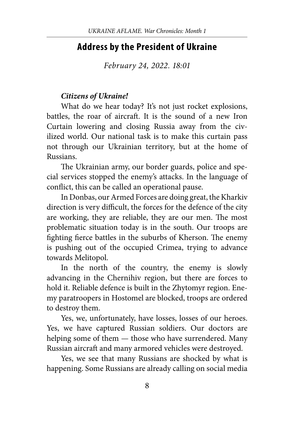#### **Address by the President of Ukraine**

*February 24, 2022. 18:01*

#### *Citizens of Ukraine!*

What do we hear today? It's not just rocket explosions, battles, the roar of aircraft. It is the sound of a new Iron Curtain lowering and closing Russia away from the civilized world. Our national task is to make this curtain pass not through our Ukrainian territory, but at the home of Russians.

The Ukrainian army, our border guards, police and special services stopped the enemy's attacks. In the language of conflict, this can be called an operational pause.

In Donbas, our Armed Forces are doing great, the Kharkiv direction is very difficult, the forces for the defence of the city are working, they are reliable, they are our men. The most problematic situation today is in the south. Our troops are fighting fierce battles in the suburbs of Kherson. The enemy is pushing out of the occupied Crimea, trying to advance towards Melitopol.

In the north of the country, the enemy is slowly advancing in the Chernihiv region, but there are forces to hold it. Reliable defence is built in the Zhytomyr region. Enemy paratroopers in Hostomel are blocked, troops are ordered to destroy them.

Yes, we, unfortunately, have losses, losses of our heroes. Yes, we have captured Russian soldiers. Our doctors are helping some of them — those who have surrendered. Many Russian aircraft and many armored vehicles were destroyed.

Yes, we see that many Russians are shocked by what is happening. Some Russians are already calling on social media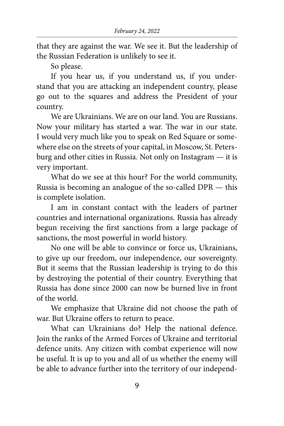that they are against the war. We see it. But the leadership of the Russian Federation is unlikely to see it.

So please.

If you hear us, if you understand us, if you understand that you are attacking an independent country, please go out to the squares and address the President of your country.

We are Ukrainians. We are on our land. You are Russians. Now your military has started a war. The war in our state. I would very much like you to speak on Red Square or somewhere else on the streets of your capital, in Moscow, St. Petersburg and other cities in Russia. Not only on Instagram — it is very important.

What do we see at this hour? For the world community, Russia is becoming an analogue of the so-called DPR — this is complete isolation.

I am in constant contact with the leaders of partner countries and international organizations. Russia has already begun receiving the first sanctions from a large package of sanctions, the most powerful in world history.

No one will be able to convince or force us, Ukrainians, to give up our freedom, our independence, our sovereignty. But it seems that the Russian leadership is trying to do this by destroying the potential of their country. Everything that Russia has done since 2000 can now be burned live in front of the world.

We emphasize that Ukraine did not choose the path of war. But Ukraine offers to return to peace.

What can Ukrainians do? Help the national defence. Join the ranks of the Armed Forces of Ukraine and territorial defence units. Any citizen with combat experience will now be useful. It is up to you and all of us whether the enemy will be able to advance further into the territory of our independ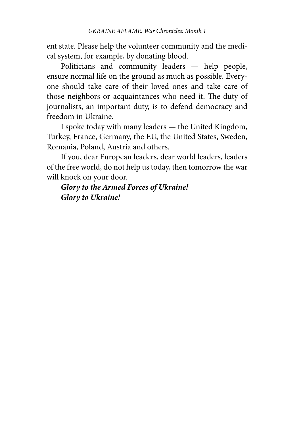ent state. Please help the volunteer community and the medical system, for example, by donating blood.

Politicians and community leaders — help people, ensure normal life on the ground as much as possible. Everyone should take care of their loved ones and take care of those neighbors or acquaintances who need it. The duty of journalists, an important duty, is to defend democracy and freedom in Ukraine.

I spoke today with many leaders — the United Kingdom, Turkey, France, Germany, the EU, the United States, Sweden, Romania, Poland, Austria and others.

If you, dear European leaders, dear world leaders, leaders of the free world, do not help us today, then tomorrow the war will knock on your door.

*Glory to the Armed Forces of Ukraine! Glory to Ukraine!*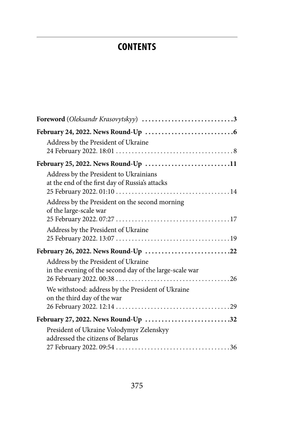## **CONTENTS**

| Foreword (Oleksandr Krasovytskyy) 3                                                            |  |
|------------------------------------------------------------------------------------------------|--|
| Address by the President of Ukraine                                                            |  |
| February 25, 2022. News Round-Up 11                                                            |  |
| Address by the President to Ukrainians<br>at the end of the first day of Russia's attacks      |  |
| Address by the President on the second morning<br>of the large-scale war                       |  |
| Address by the President of Ukraine                                                            |  |
| February 26, 2022. News Round-Up 22                                                            |  |
| Address by the President of Ukraine<br>in the evening of the second day of the large-scale war |  |
| We withstood: address by the President of Ukraine<br>on the third day of the war               |  |
| February 27, 2022. News Round-Up 32                                                            |  |
| President of Ukraine Volodymyr Zelenskyy<br>addressed the citizens of Belarus                  |  |
|                                                                                                |  |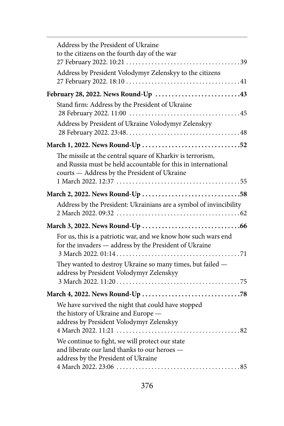| Address by the President of Ukraine<br>to the citizens on the fourth day of the war                                                                                         |
|-----------------------------------------------------------------------------------------------------------------------------------------------------------------------------|
|                                                                                                                                                                             |
| Address by President Volodymyr Zelenskyy to the citizens                                                                                                                    |
| February 28, 2022. News Round-Up 43                                                                                                                                         |
| Stand firm: Address by the President of Ukraine                                                                                                                             |
| Address by President of Ukraine Volodymyr Zelenskyy                                                                                                                         |
| March 1, 2022. News Round-Up 52                                                                                                                                             |
| The missile at the central square of Kharkiv is terrorism,<br>and Russia must be held accountable for this in international<br>courts - Address by the President of Ukraine |
| March 2, 2022. News Round-Up 58                                                                                                                                             |
| Address by the President: Ukrainians are a symbol of invincibility                                                                                                          |
|                                                                                                                                                                             |
| For us, this is a patriotic war, and we know how such wars end<br>for the invaders - address by the President of Ukraine                                                    |
|                                                                                                                                                                             |
| They wanted to destroy Ukraine so many times, but failed -<br>address by President Volodymyr Zelenskyy                                                                      |
|                                                                                                                                                                             |
| We have survived the night that could have stopped<br>the history of Ukraine and Europe -<br>address by President Volodymyr Zelenskyy                                       |
| We continue to fight, we will protect our state<br>and liberate our land thanks to our heroes -<br>address by the President of Ukraine                                      |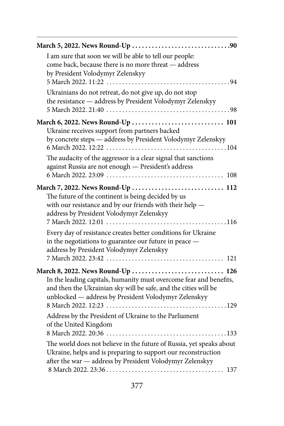| I am sure that soon we will be able to tell our people:<br>come back, because there is no more threat - address<br>by President Volodymyr Zelenskyy                                                                                |
|------------------------------------------------------------------------------------------------------------------------------------------------------------------------------------------------------------------------------------|
| Ukrainians do not retreat, do not give up, do not stop<br>the resistance - address by President Volodymyr Zelenskyy                                                                                                                |
| March 6, 2022. News Round-Up  101                                                                                                                                                                                                  |
| Ukraine receives support from partners backed<br>by concrete steps - address by President Volodymyr Zelenskyy                                                                                                                      |
| The audacity of the aggressor is a clear signal that sanctions<br>against Russia are not enough - President's address                                                                                                              |
| March 7, 2022. News Round-Up  112                                                                                                                                                                                                  |
| The future of the continent is being decided by us<br>with our resistance and by our friends with their help -<br>address by President Volodymyr Zelenskyy<br>7 March 2022. 12:01<br>$\ldots$ . 116                                |
| Every day of resistance creates better conditions for Ukraine<br>in the negotiations to guarantee our future in peace -<br>address by President Volodymyr Zelenskyy                                                                |
| March 8, 2022. News Round-Up  126<br>In the leading capitals, humanity must overcome fear and benefits,<br>and then the Ukrainian sky will be safe, and the cities will be<br>unblocked - address by President Volodymyr Zelenskyy |
| Address by the President of Ukraine to the Parliament<br>of the United Kingdom                                                                                                                                                     |
| The world does not believe in the future of Russia, yet speaks about<br>Ukraine, helps and is preparing to support our reconstruction<br>after the war - address by President Volodymyr Zelenskyy                                  |
|                                                                                                                                                                                                                                    |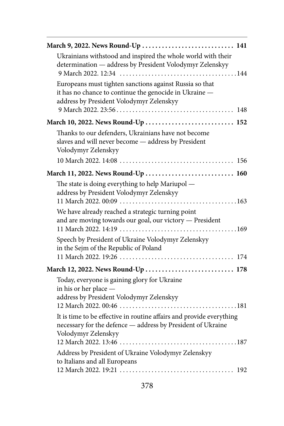| March 9, 2022. News Round-Up  141                                                                                                                             |
|---------------------------------------------------------------------------------------------------------------------------------------------------------------|
| Ukrainians withstood and inspired the whole world with their<br>determination - address by President Volodymyr Zelenskyy                                      |
| Europeans must tighten sanctions against Russia so that<br>it has no chance to continue the genocide in Ukraine -<br>address by President Volodymyr Zelenskyy |
| March 10, 2022. News Round-Up  152                                                                                                                            |
| Thanks to our defenders, Ukrainians have not become<br>slaves and will never become - address by President<br>Volodymyr Zelenskyy                             |
|                                                                                                                                                               |
| March 11, 2022. News Round-Up  160                                                                                                                            |
| The state is doing everything to help Mariupol -<br>address by President Volodymyr Zelenskyy                                                                  |
| We have already reached a strategic turning point<br>and are moving towards our goal, our victory - President                                                 |
| Speech by President of Ukraine Volodymyr Zelenskyy<br>in the Sejm of the Republic of Poland                                                                   |
| March 12, 2022. News Round-Up  178                                                                                                                            |
| Today, everyone is gaining glory for Ukraine<br>in his or her place -<br>address by President Volodymyr Zelenskyy                                             |
| It is time to be effective in routine affairs and provide everything<br>necessary for the defence - address by President of Ukraine<br>Volodymyr Zelenskyy    |
| Address by President of Ukraine Volodymyr Zelenskyy<br>to Italians and all Europeans                                                                          |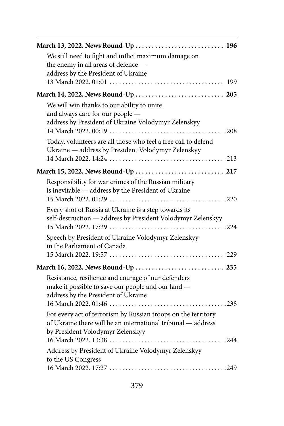| March 13, 2022. News Round-Up  196                                                                                                               |
|--------------------------------------------------------------------------------------------------------------------------------------------------|
| We still need to fight and inflict maximum damage on<br>the enemy in all areas of defence -                                                      |
| address by the President of Ukraine                                                                                                              |
|                                                                                                                                                  |
|                                                                                                                                                  |
| We will win thanks to our ability to unite                                                                                                       |
| and always care for our people -                                                                                                                 |
| address by President of Ukraine Volodymyr Zelenskyy                                                                                              |
|                                                                                                                                                  |
| Today, volunteers are all those who feel a free call to defend<br>Ukraine - address by President Volodymyr Zelenskyy                             |
|                                                                                                                                                  |
| March 15, 2022. News Round-Up  217                                                                                                               |
| Responsibility for war crimes of the Russian military<br>is inevitable - address by the President of Ukraine                                     |
|                                                                                                                                                  |
| Every shot of Russia at Ukraine is a step towards its<br>self-destruction - address by President Volodymyr Zelenskyy                             |
| Speech by President of Ukraine Volodymyr Zelenskyy<br>in the Parliament of Canada                                                                |
|                                                                                                                                                  |
|                                                                                                                                                  |
| Resistance, resilience and courage of our defenders<br>make it possible to save our people and our land -<br>address by the President of Ukraine |
| For every act of terrorism by Russian troops on the territory                                                                                    |
| of Ukraine there will be an international tribunal - address<br>by President Volodymyr Zelenskyy                                                 |
|                                                                                                                                                  |
| Address by President of Ukraine Volodymyr Zelenskyy                                                                                              |
| to the US Congress                                                                                                                               |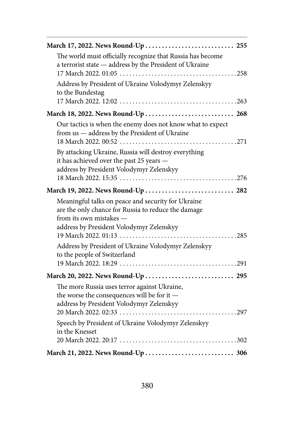| The world must officially recognize that Russia has become<br>a terrorist state - address by the President of Ukraine                                                            |  |
|----------------------------------------------------------------------------------------------------------------------------------------------------------------------------------|--|
| Address by President of Ukraine Volodymyr Zelenskyy<br>to the Bundestag                                                                                                          |  |
| March 18, 2022. News Round-Up  268                                                                                                                                               |  |
| Our tactics is when the enemy does not know what to expect<br>from us - address by the President of Ukraine                                                                      |  |
| By attacking Ukraine, Russia will destroy everything<br>it has achieved over the past 25 years -<br>address by President Volodymyr Zelenskyy                                     |  |
|                                                                                                                                                                                  |  |
| March 19, 2022. News Round-Up  282                                                                                                                                               |  |
| Meaningful talks on peace and security for Ukraine<br>are the only chance for Russia to reduce the damage<br>from its own mistakes —<br>address by President Volodymyr Zelenskyy |  |
| Address by President of Ukraine Volodymyr Zelenskyy<br>to the people of Switzerland                                                                                              |  |
|                                                                                                                                                                                  |  |
|                                                                                                                                                                                  |  |
| The more Russia uses terror against Ukraine,<br>the worse the consequences will be for it -<br>address by President Volodymyr Zelenskyy                                          |  |
| Speech by President of Ukraine Volodymyr Zelenskyy<br>in the Knesset                                                                                                             |  |
|                                                                                                                                                                                  |  |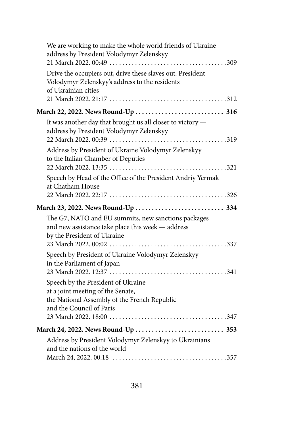|  | We are working to make the whole world friends of Ukraine -<br>address by President Volodymyr Zelenskyy                                             |
|--|-----------------------------------------------------------------------------------------------------------------------------------------------------|
|  | Drive the occupiers out, drive these slaves out: President<br>Volodymyr Zelenskyy's address to the residents<br>of Ukrainian cities                 |
|  |                                                                                                                                                     |
|  | It was another day that brought us all closer to victory -<br>address by President Volodymyr Zelenskyy                                              |
|  | Address by President of Ukraine Volodymyr Zelenskyy<br>to the Italian Chamber of Deputies                                                           |
|  | Speech by Head of the Office of the President Andriy Yermak<br>at Chatham House                                                                     |
|  |                                                                                                                                                     |
|  |                                                                                                                                                     |
|  | The G7, NATO and EU summits, new sanctions packages<br>and new assistance take place this week - address<br>by the President of Ukraine             |
|  | Speech by President of Ukraine Volodymyr Zelenskyy<br>in the Parliament of Japan                                                                    |
|  | Speech by the President of Ukraine<br>at a joint meeting of the Senate,<br>the National Assembly of the French Republic<br>and the Council of Paris |
|  |                                                                                                                                                     |
|  | Address by President Volodymyr Zelenskyy to Ukrainians<br>and the nations of the world                                                              |